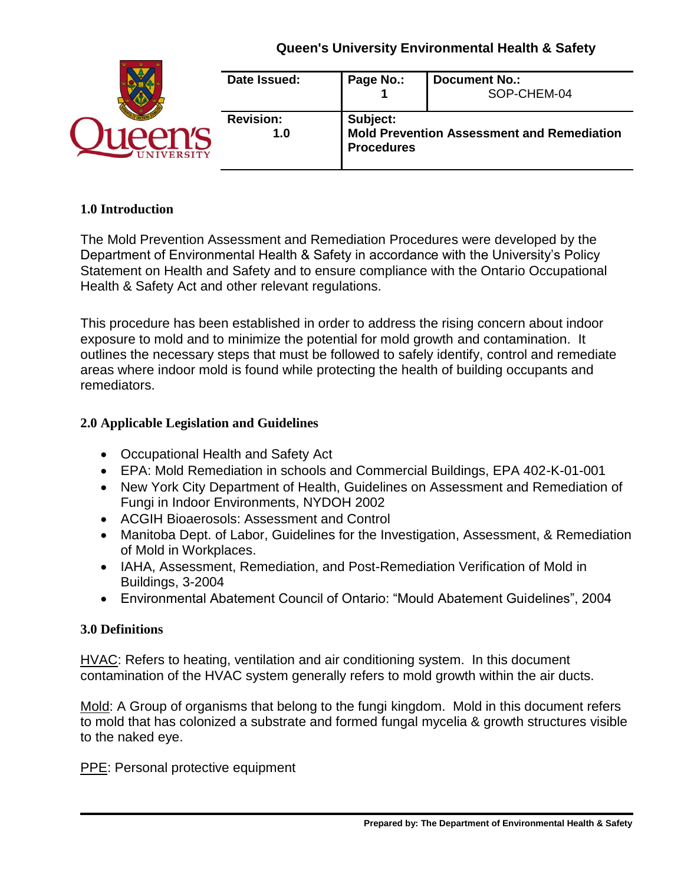|  | Date Issued:            | Page No.:                                                                          | <b>Document No.:</b><br>SOP-CHEM-04 |
|--|-------------------------|------------------------------------------------------------------------------------|-------------------------------------|
|  | <b>Revision:</b><br>1.0 | Subject:<br><b>Mold Prevention Assessment and Remediation</b><br><b>Procedures</b> |                                     |

#### **1.0 Introduction**

The Mold Prevention Assessment and Remediation Procedures were developed by the Department of Environmental Health & Safety in accordance with the University's Policy Statement on Health and Safety and to ensure compliance with the Ontario Occupational Health & Safety Act and other relevant regulations.

This procedure has been established in order to address the rising concern about indoor exposure to mold and to minimize the potential for mold growth and contamination. It outlines the necessary steps that must be followed to safely identify, control and remediate areas where indoor mold is found while protecting the health of building occupants and remediators.

#### **2.0 Applicable Legislation and Guidelines**

- Occupational Health and Safety Act
- EPA: Mold Remediation in schools and Commercial Buildings, EPA 402-K-01-001
- New York City Department of Health, Guidelines on Assessment and Remediation of Fungi in Indoor Environments, NYDOH 2002
- ACGIH Bioaerosols: Assessment and Control
- Manitoba Dept. of Labor, Guidelines for the Investigation, Assessment, & Remediation of Mold in Workplaces.
- IAHA, Assessment, Remediation, and Post-Remediation Verification of Mold in Buildings, 3-2004
- Environmental Abatement Council of Ontario: "Mould Abatement Guidelines", 2004

## **3.0 Definitions**

HVAC: Refers to heating, ventilation and air conditioning system. In this document contamination of the HVAC system generally refers to mold growth within the air ducts.

Mold: A Group of organisms that belong to the fungi kingdom. Mold in this document refers to mold that has colonized a substrate and formed fungal mycelia & growth structures visible to the naked eye.

PPE: Personal protective equipment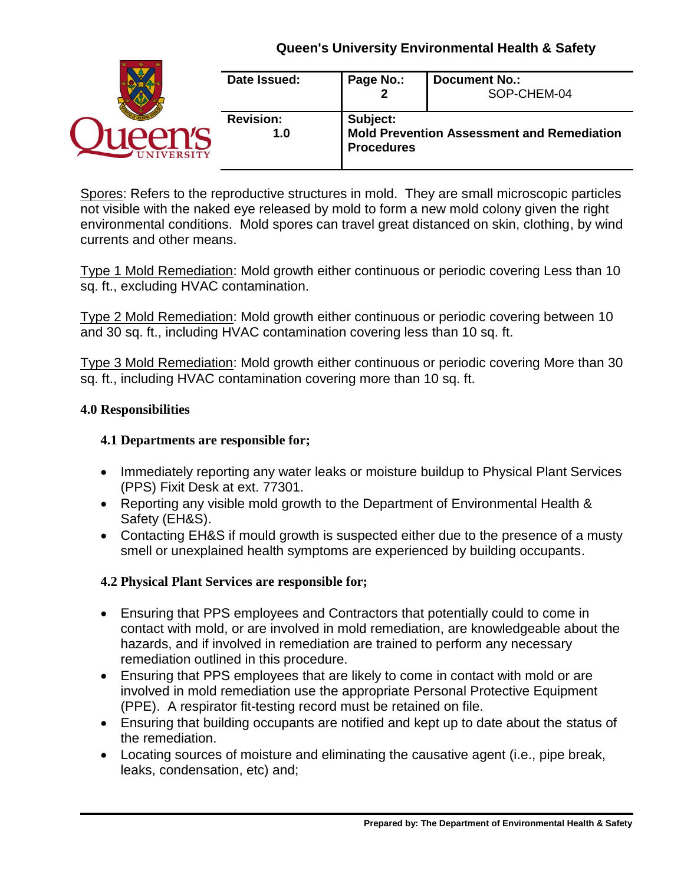

Spores: Refers to the reproductive structures in mold. They are small microscopic particles not visible with the naked eye released by mold to form a new mold colony given the right environmental conditions. Mold spores can travel great distanced on skin, clothing, by wind currents and other means.

Type 1 Mold Remediation: Mold growth either continuous or periodic covering Less than 10 sq. ft., excluding HVAC contamination.

Type 2 Mold Remediation: Mold growth either continuous or periodic covering between 10 and 30 sq. ft., including HVAC contamination covering less than 10 sq. ft.

Type 3 Mold Remediation: Mold growth either continuous or periodic covering More than 30 sq. ft., including HVAC contamination covering more than 10 sq. ft.

#### **4.0 Responsibilities**

#### **4.1 Departments are responsible for;**

- Immediately reporting any water leaks or moisture buildup to Physical Plant Services (PPS) Fixit Desk at ext. 77301.
- Reporting any visible mold growth to the Department of Environmental Health & Safety (EH&S).
- Contacting EH&S if mould growth is suspected either due to the presence of a musty smell or unexplained health symptoms are experienced by building occupants.

#### **4.2 Physical Plant Services are responsible for;**

- Ensuring that PPS employees and Contractors that potentially could to come in contact with mold, or are involved in mold remediation, are knowledgeable about the hazards, and if involved in remediation are trained to perform any necessary remediation outlined in this procedure.
- Ensuring that PPS employees that are likely to come in contact with mold or are involved in mold remediation use the appropriate Personal Protective Equipment (PPE). A respirator fit-testing record must be retained on file.
- Ensuring that building occupants are notified and kept up to date about the status of the remediation.
- Locating sources of moisture and eliminating the causative agent (i.e., pipe break, leaks, condensation, etc) and;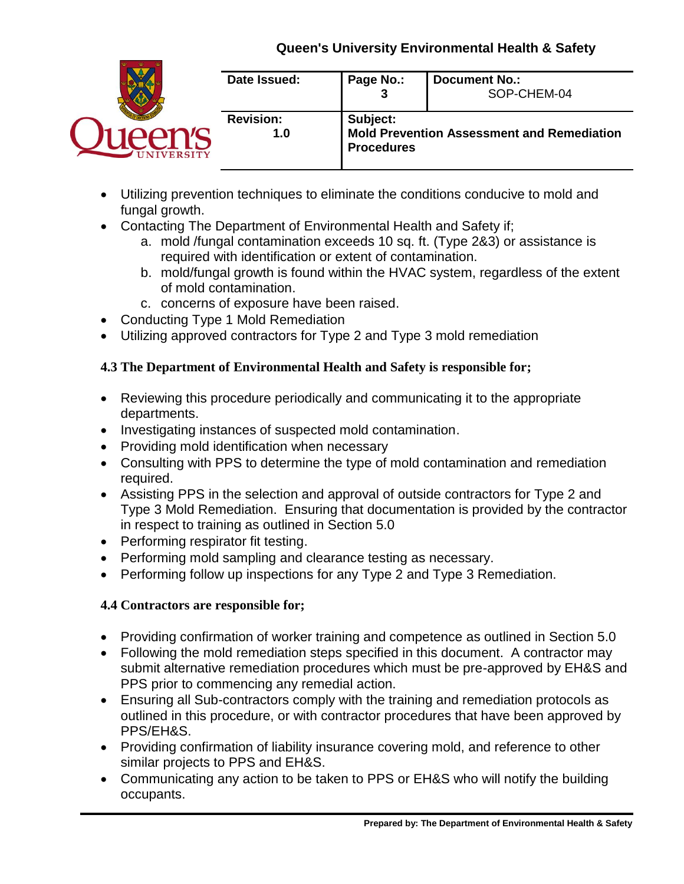

- Utilizing prevention techniques to eliminate the conditions conducive to mold and fungal growth.
- Contacting The Department of Environmental Health and Safety if;
	- a. mold /fungal contamination exceeds 10 sq. ft. (Type 2&3) or assistance is required with identification or extent of contamination.
	- b. mold/fungal growth is found within the HVAC system, regardless of the extent of mold contamination.
	- c. concerns of exposure have been raised.
- Conducting Type 1 Mold Remediation
- Utilizing approved contractors for Type 2 and Type 3 mold remediation

## **4.3 The Department of Environmental Health and Safety is responsible for;**

- Reviewing this procedure periodically and communicating it to the appropriate departments.
- Investigating instances of suspected mold contamination.
- Providing mold identification when necessary
- Consulting with PPS to determine the type of mold contamination and remediation required.
- Assisting PPS in the selection and approval of outside contractors for Type 2 and Type 3 Mold Remediation. Ensuring that documentation is provided by the contractor in respect to training as outlined in Section 5.0
- Performing respirator fit testing.
- Performing mold sampling and clearance testing as necessary.
- Performing follow up inspections for any Type 2 and Type 3 Remediation.

## **4.4 Contractors are responsible for;**

- Providing confirmation of worker training and competence as outlined in Section 5.0
- Following the mold remediation steps specified in this document. A contractor may submit alternative remediation procedures which must be pre-approved by EH&S and PPS prior to commencing any remedial action.
- Ensuring all Sub-contractors comply with the training and remediation protocols as outlined in this procedure, or with contractor procedures that have been approved by PPS/EH&S.
- Providing confirmation of liability insurance covering mold, and reference to other similar projects to PPS and EH&S.
- Communicating any action to be taken to PPS or EH&S who will notify the building occupants.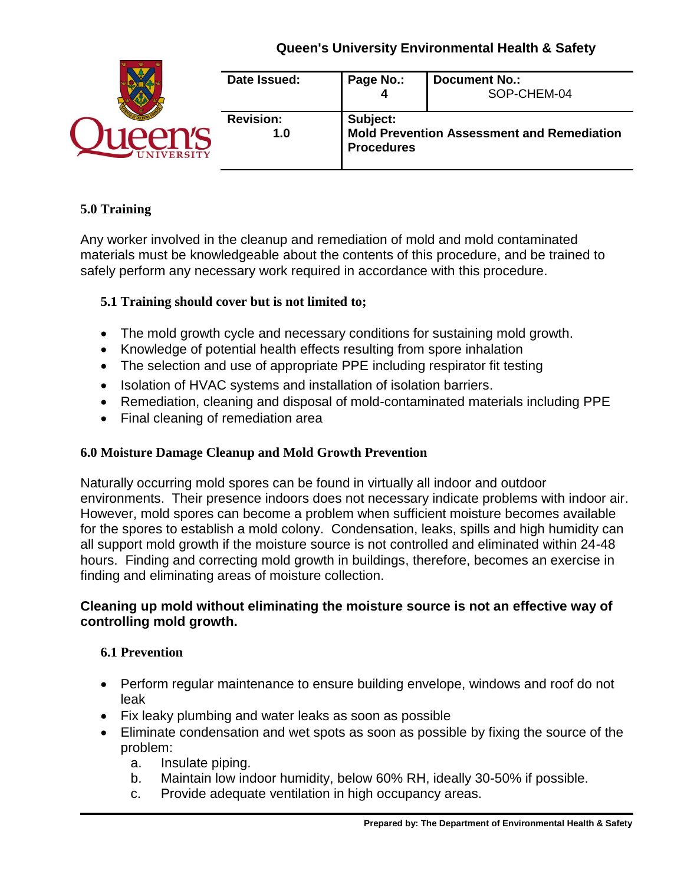

#### **5.0 Training**

Any worker involved in the cleanup and remediation of mold and mold contaminated materials must be knowledgeable about the contents of this procedure, and be trained to safely perform any necessary work required in accordance with this procedure.

#### **5.1 Training should cover but is not limited to;**

- The mold growth cycle and necessary conditions for sustaining mold growth.
- Knowledge of potential health effects resulting from spore inhalation
- The selection and use of appropriate PPE including respirator fit testing
- Isolation of HVAC systems and installation of isolation barriers.
- Remediation, cleaning and disposal of mold-contaminated materials including PPE
- Final cleaning of remediation area

#### **6.0 Moisture Damage Cleanup and Mold Growth Prevention**

Naturally occurring mold spores can be found in virtually all indoor and outdoor environments. Their presence indoors does not necessary indicate problems with indoor air. However, mold spores can become a problem when sufficient moisture becomes available for the spores to establish a mold colony. Condensation, leaks, spills and high humidity can all support mold growth if the moisture source is not controlled and eliminated within 24-48 hours. Finding and correcting mold growth in buildings, therefore, becomes an exercise in finding and eliminating areas of moisture collection.

#### **Cleaning up mold without eliminating the moisture source is not an effective way of controlling mold growth.**

#### **6.1 Prevention**

- Perform regular maintenance to ensure building envelope, windows and roof do not leak
- Fix leaky plumbing and water leaks as soon as possible
- Eliminate condensation and wet spots as soon as possible by fixing the source of the problem:
	- a. Insulate piping.
	- b. Maintain low indoor humidity, below 60% RH, ideally 30-50% if possible.
	- c. Provide adequate ventilation in high occupancy areas.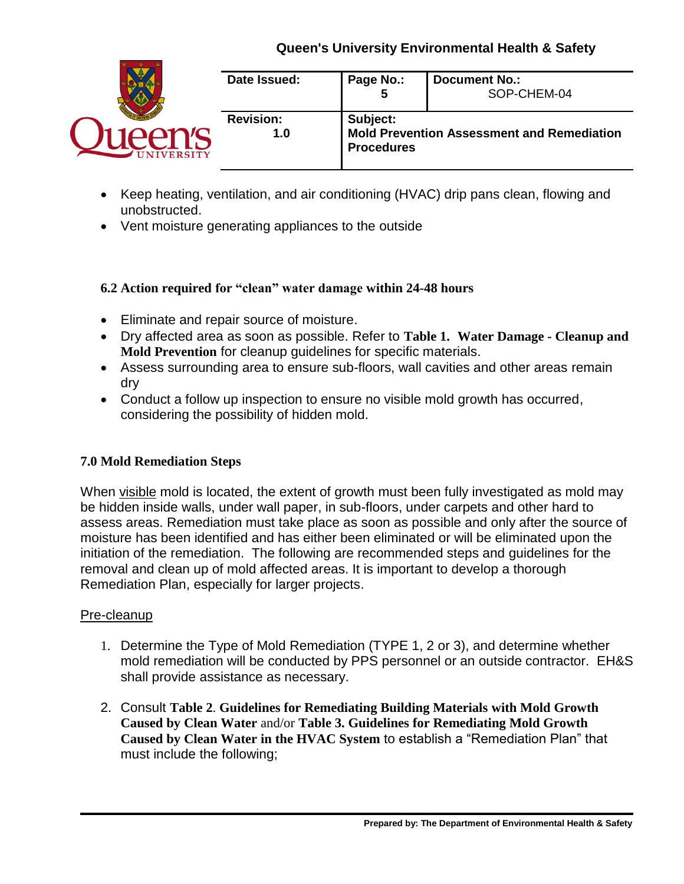

- Keep heating, ventilation, and air conditioning (HVAC) drip pans clean, flowing and unobstructed.
- Vent moisture generating appliances to the outside

#### **6.2 Action required for "clean" water damage within 24-48 hours**

- Eliminate and repair source of moisture.
- Dry affected area as soon as possible. Refer to **Table 1. Water Damage - Cleanup and Mold Prevention** for cleanup guidelines for specific materials.
- Assess surrounding area to ensure sub-floors, wall cavities and other areas remain dry
- Conduct a follow up inspection to ensure no visible mold growth has occurred, considering the possibility of hidden mold.

#### **7.0 Mold Remediation Steps**

When visible mold is located, the extent of growth must been fully investigated as mold may be hidden inside walls, under wall paper, in sub-floors, under carpets and other hard to assess areas. Remediation must take place as soon as possible and only after the source of moisture has been identified and has either been eliminated or will be eliminated upon the initiation of the remediation. The following are recommended steps and guidelines for the removal and clean up of mold affected areas. It is important to develop a thorough Remediation Plan, especially for larger projects.

#### Pre-cleanup

- 1. Determine the Type of Mold Remediation (TYPE 1, 2 or 3), and determine whether mold remediation will be conducted by PPS personnel or an outside contractor. EH&S shall provide assistance as necessary.
- 2. Consult **Table 2**. **Guidelines for Remediating Building Materials with Mold Growth Caused by Clean Water** and/or **Table 3. Guidelines for Remediating Mold Growth Caused by Clean Water in the HVAC System** to establish a "Remediation Plan" that must include the following;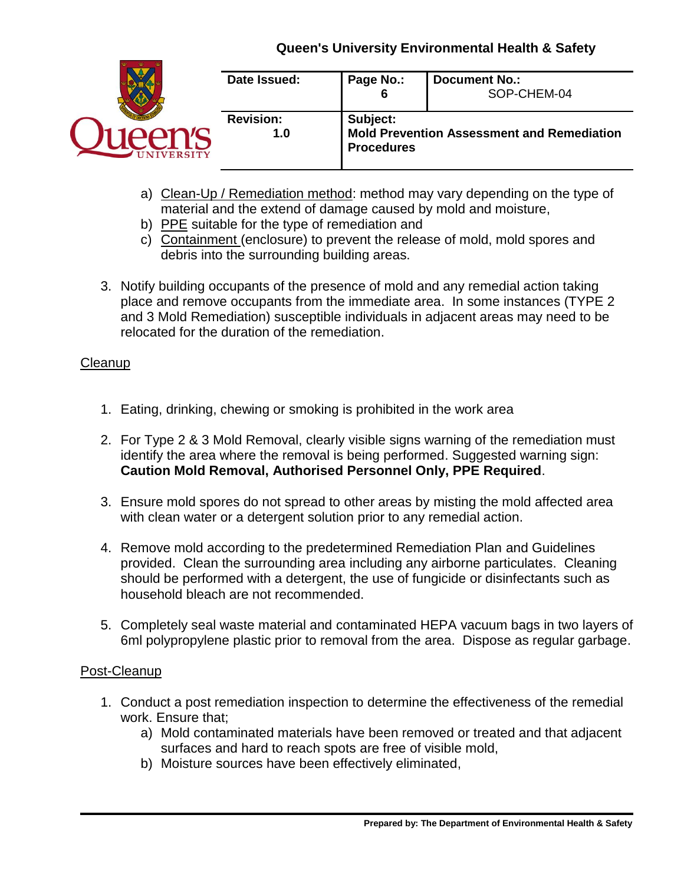

| Date Issued:            | Page No.:                     | <b>Document No.:</b><br>SOP-CHEM-04               |
|-------------------------|-------------------------------|---------------------------------------------------|
| <b>Revision:</b><br>1.0 | Subject:<br><b>Procedures</b> | <b>Mold Prevention Assessment and Remediation</b> |

- a) Clean-Up / Remediation method: method may vary depending on the type of material and the extend of damage caused by mold and moisture,
- b) PPE suitable for the type of remediation and
- c) Containment (enclosure) to prevent the release of mold, mold spores and debris into the surrounding building areas.
- 3. Notify building occupants of the presence of mold and any remedial action taking place and remove occupants from the immediate area. In some instances (TYPE 2 and 3 Mold Remediation) susceptible individuals in adjacent areas may need to be relocated for the duration of the remediation.

## **Cleanup**

- 1. Eating, drinking, chewing or smoking is prohibited in the work area
- 2. For Type 2 & 3 Mold Removal, clearly visible signs warning of the remediation must identify the area where the removal is being performed. Suggested warning sign: **Caution Mold Removal, Authorised Personnel Only, PPE Required**.
- 3. Ensure mold spores do not spread to other areas by misting the mold affected area with clean water or a detergent solution prior to any remedial action.
- 4. Remove mold according to the predetermined Remediation Plan and Guidelines provided. Clean the surrounding area including any airborne particulates. Cleaning should be performed with a detergent, the use of fungicide or disinfectants such as household bleach are not recommended.
- 5. Completely seal waste material and contaminated HEPA vacuum bags in two layers of 6ml polypropylene plastic prior to removal from the area. Dispose as regular garbage.

## Post-Cleanup

- 1. Conduct a post remediation inspection to determine the effectiveness of the remedial work. Ensure that;
	- a) Mold contaminated materials have been removed or treated and that adjacent surfaces and hard to reach spots are free of visible mold,
	- b) Moisture sources have been effectively eliminated,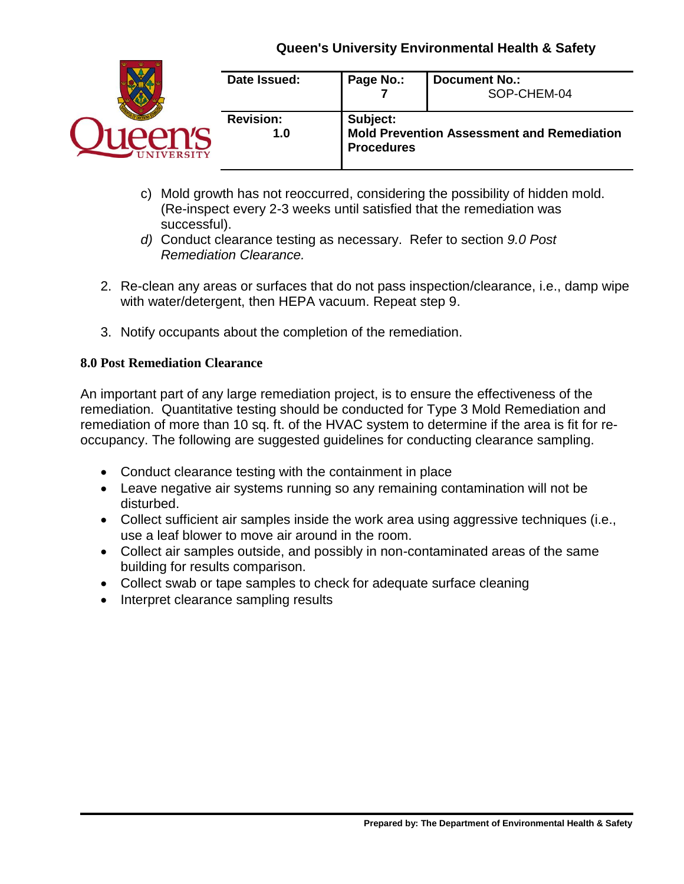

- c) Mold growth has not reoccurred, considering the possibility of hidden mold. (Re-inspect every 2-3 weeks until satisfied that the remediation was successful).
- *d)* Conduct clearance testing as necessary. Refer to section *9.0 Post Remediation Clearance.*
- 2. Re-clean any areas or surfaces that do not pass inspection/clearance, i.e., damp wipe with water/detergent, then HEPA vacuum. Repeat step 9.
- 3. Notify occupants about the completion of the remediation.

#### **8.0 Post Remediation Clearance**

An important part of any large remediation project, is to ensure the effectiveness of the remediation. Quantitative testing should be conducted for Type 3 Mold Remediation and remediation of more than 10 sq. ft. of the HVAC system to determine if the area is fit for reoccupancy. The following are suggested guidelines for conducting clearance sampling.

- Conduct clearance testing with the containment in place
- Leave negative air systems running so any remaining contamination will not be disturbed.
- Collect sufficient air samples inside the work area using aggressive techniques (i.e., use a leaf blower to move air around in the room.
- Collect air samples outside, and possibly in non-contaminated areas of the same building for results comparison.
- Collect swab or tape samples to check for adequate surface cleaning
- Interpret clearance sampling results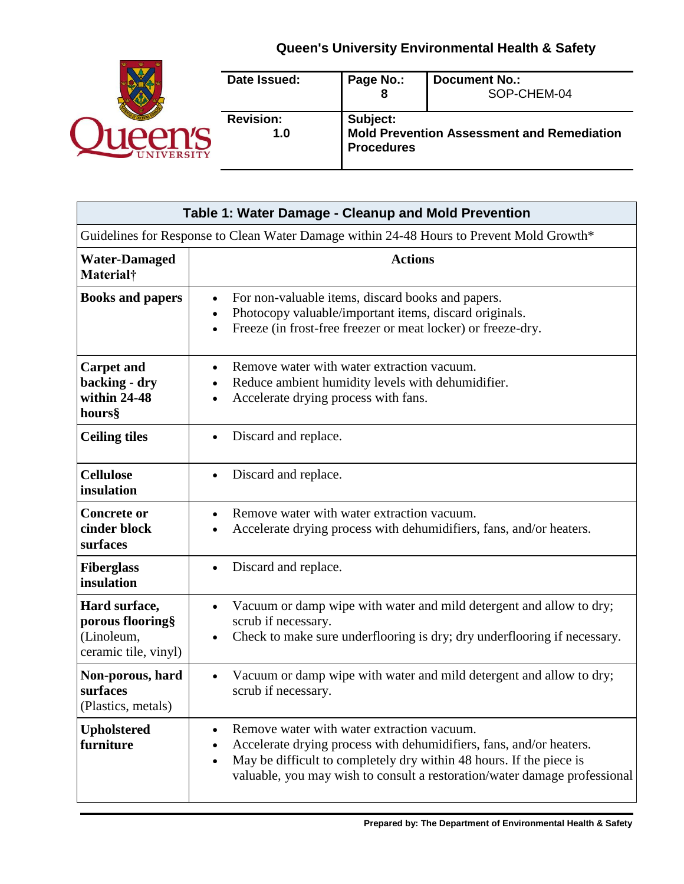

|                                                                         | Table 1: Water Damage - Cleanup and Mold Prevention                                                                                                                                                                                                                   |
|-------------------------------------------------------------------------|-----------------------------------------------------------------------------------------------------------------------------------------------------------------------------------------------------------------------------------------------------------------------|
|                                                                         | Guidelines for Response to Clean Water Damage within 24-48 Hours to Prevent Mold Growth*                                                                                                                                                                              |
| <b>Water-Damaged</b><br><b>Material</b> †                               | <b>Actions</b>                                                                                                                                                                                                                                                        |
| <b>Books and papers</b>                                                 | For non-valuable items, discard books and papers.<br>$\bullet$<br>Photocopy valuable/important items, discard originals.<br>Freeze (in frost-free freezer or meat locker) or freeze-dry.                                                                              |
| <b>Carpet and</b><br>backing - dry<br>within 24-48<br>hours§            | Remove water with water extraction vacuum.<br>$\bullet$<br>Reduce ambient humidity levels with dehumidifier.<br>Accelerate drying process with fans.<br>$\bullet$                                                                                                     |
| <b>Ceiling tiles</b>                                                    | Discard and replace.                                                                                                                                                                                                                                                  |
| <b>Cellulose</b><br>insulation                                          | Discard and replace.<br>$\bullet$                                                                                                                                                                                                                                     |
| <b>Concrete or</b><br>cinder block<br>surfaces                          | Remove water with water extraction vacuum.<br>$\bullet$<br>Accelerate drying process with dehumidifiers, fans, and/or heaters.                                                                                                                                        |
| <b>Fiberglass</b><br>insulation                                         | Discard and replace.<br>$\bullet$                                                                                                                                                                                                                                     |
| Hard surface,<br>porous flooring§<br>(Linoleum,<br>ceramic tile, vinyl) | Vacuum or damp wipe with water and mild detergent and allow to dry;<br>$\bullet$<br>scrub if necessary.<br>Check to make sure underflooring is dry; dry underflooring if necessary.<br>$\bullet$                                                                      |
| Non-porous, hard<br>surfaces<br>(Plastics, metals)                      | Vacuum or damp wipe with water and mild detergent and allow to dry;<br>$\bullet$<br>scrub if necessary.                                                                                                                                                               |
| <b>Upholstered</b><br>furniture                                         | Remove water with water extraction vacuum.<br>Accelerate drying process with dehumidifiers, fans, and/or heaters.<br>May be difficult to completely dry within 48 hours. If the piece is<br>valuable, you may wish to consult a restoration/water damage professional |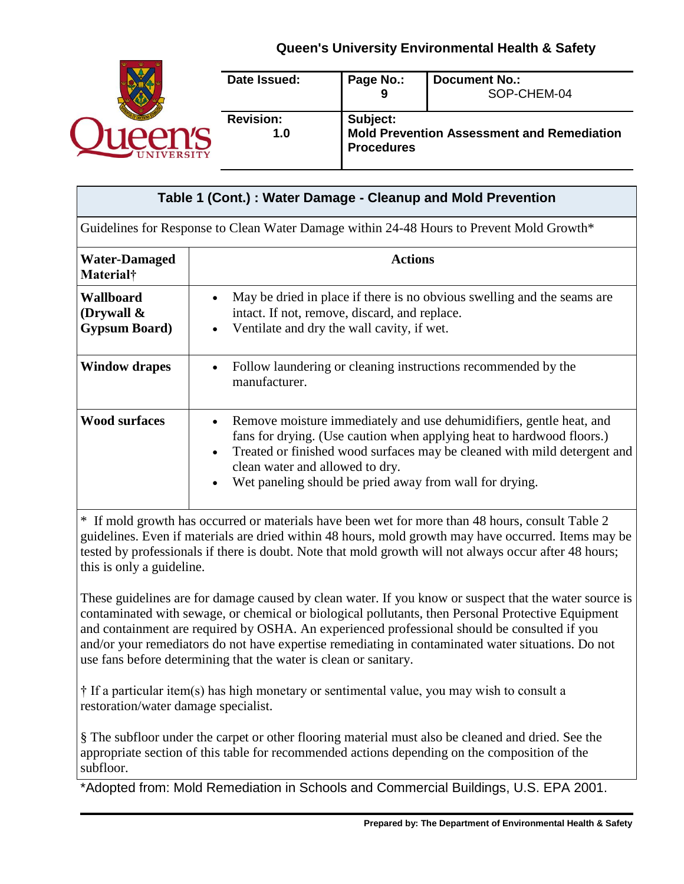

|                                                     | Table 1 (Cont.): Water Damage - Cleanup and Mold Prevention                                                                                                                                                                                                                                                                                      |  |  |  |  |
|-----------------------------------------------------|--------------------------------------------------------------------------------------------------------------------------------------------------------------------------------------------------------------------------------------------------------------------------------------------------------------------------------------------------|--|--|--|--|
|                                                     | Guidelines for Response to Clean Water Damage within 24-48 Hours to Prevent Mold Growth*                                                                                                                                                                                                                                                         |  |  |  |  |
| <b>Water-Damaged</b><br><b>Material</b> †           | <b>Actions</b>                                                                                                                                                                                                                                                                                                                                   |  |  |  |  |
| Wallboard<br>(Drywall $\&$<br><b>Gypsum Board</b> ) | May be dried in place if there is no obvious swelling and the seams are<br>$\bullet$<br>intact. If not, remove, discard, and replace.<br>Ventilate and dry the wall cavity, if wet.<br>$\bullet$                                                                                                                                                 |  |  |  |  |
| <b>Window drapes</b>                                | Follow laundering or cleaning instructions recommended by the<br>$\bullet$<br>manufacturer.                                                                                                                                                                                                                                                      |  |  |  |  |
| <b>Wood surfaces</b>                                | Remove moisture immediately and use dehumidifiers, gentle heat, and<br>$\bullet$<br>fans for drying. (Use caution when applying heat to hardwood floors.)<br>Treated or finished wood surfaces may be cleaned with mild detergent and<br>$\bullet$<br>clean water and allowed to dry.<br>Wet paneling should be pried away from wall for drying. |  |  |  |  |

\* If mold growth has occurred or materials have been wet for more than 48 hours, consult Table 2 guidelines. Even if materials are dried within 48 hours, mold growth may have occurred. Items may be tested by professionals if there is doubt. Note that mold growth will not always occur after 48 hours; this is only a guideline.

These guidelines are for damage caused by clean water. If you know or suspect that the water source is contaminated with sewage, or chemical or biological pollutants, then Personal Protective Equipment and containment are required by OSHA. An experienced professional should be consulted if you and/or your remediators do not have expertise remediating in contaminated water situations. Do not use fans before determining that the water is clean or sanitary.

† If a particular item(s) has high monetary or sentimental value, you may wish to consult a restoration/water damage specialist.

§ The subfloor under the carpet or other flooring material must also be cleaned and dried. See the appropriate section of this table for recommended actions depending on the composition of the subfloor.

\*Adopted from: Mold Remediation in Schools and Commercial Buildings, U.S. EPA 2001.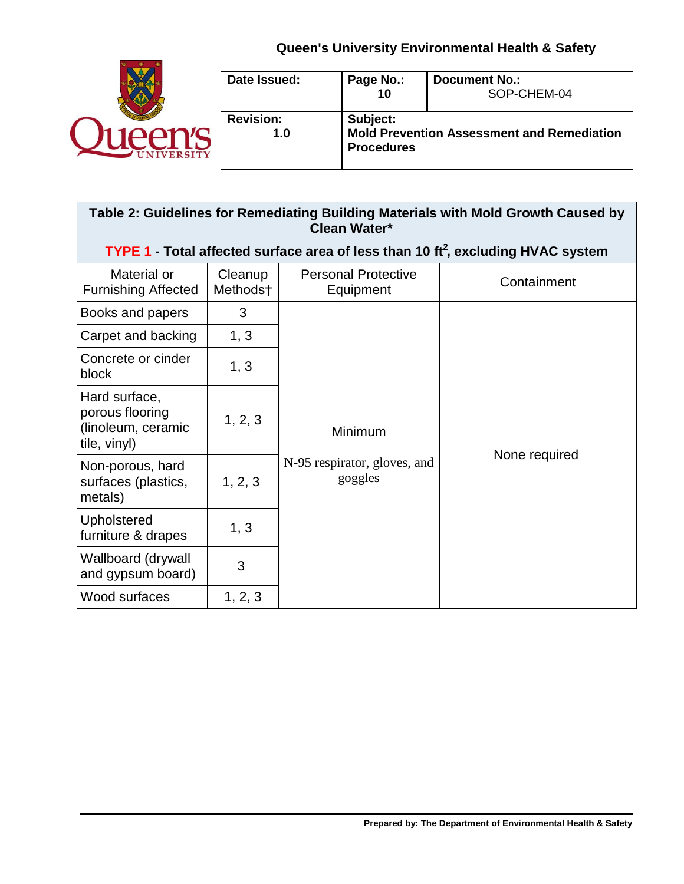|  | Date Issued:            | Page No.:<br>10                                                                    | <b>Document No.:</b><br>SOP-CHEM-04 |
|--|-------------------------|------------------------------------------------------------------------------------|-------------------------------------|
|  | <b>Revision:</b><br>1.0 | Subject:<br><b>Mold Prevention Assessment and Remediation</b><br><b>Procedures</b> |                                     |

| Table 2: Guidelines for Remediating Building Materials with Mold Growth Caused by<br>Clean Water* |                                 |                                         |                                                                                              |  |  |
|---------------------------------------------------------------------------------------------------|---------------------------------|-----------------------------------------|----------------------------------------------------------------------------------------------|--|--|
|                                                                                                   |                                 |                                         | TYPE 1 - Total affected surface area of less than 10 ft <sup>2</sup> , excluding HVAC system |  |  |
| Material or<br><b>Furnishing Affected</b>                                                         | Cleanup<br>Methods <sup>+</sup> | <b>Personal Protective</b><br>Equipment | Containment                                                                                  |  |  |
| Books and papers                                                                                  | 3                               |                                         |                                                                                              |  |  |
| Carpet and backing                                                                                | 1, 3                            |                                         |                                                                                              |  |  |
| Concrete or cinder<br>block                                                                       | 1, 3                            |                                         |                                                                                              |  |  |
| Hard surface,<br>porous flooring<br>(linoleum, ceramic<br>tile, vinyl)                            | 1, 2, 3                         | Minimum                                 |                                                                                              |  |  |
| Non-porous, hard<br>surfaces (plastics,<br>metals)                                                | 1, 2, 3                         | N-95 respirator, gloves, and<br>goggles | None required                                                                                |  |  |
| <b>Upholstered</b><br>furniture & drapes                                                          | 1, 3                            |                                         |                                                                                              |  |  |
| Wallboard (drywall<br>and gypsum board)                                                           | 3                               |                                         |                                                                                              |  |  |
| Wood surfaces                                                                                     | 1, 2, 3                         |                                         |                                                                                              |  |  |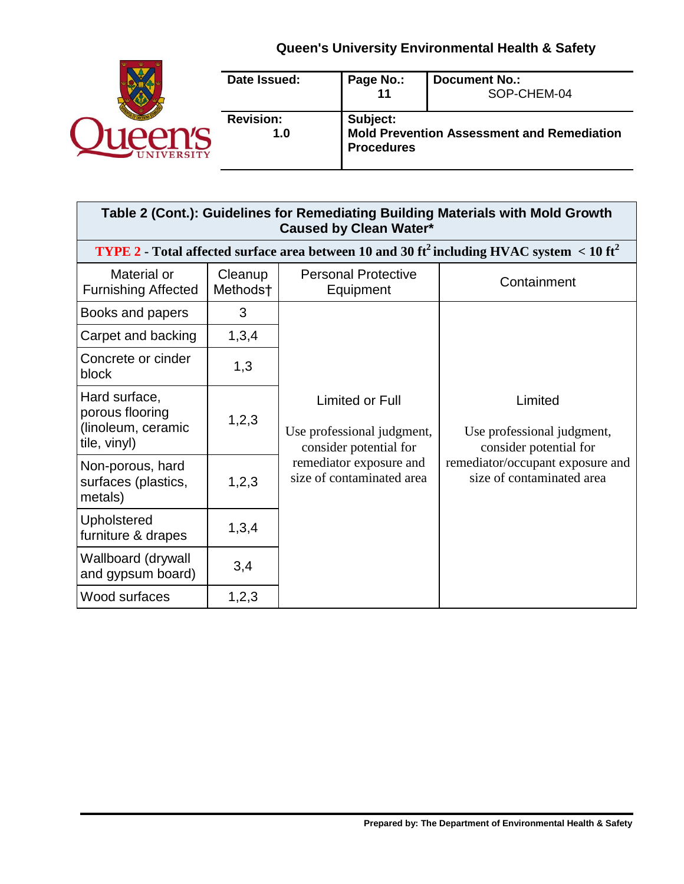|  | Date Issued:            | Page No.:                                                                          | <b>Document No.:</b><br>SOP-CHEM-04 |
|--|-------------------------|------------------------------------------------------------------------------------|-------------------------------------|
|  | <b>Revision:</b><br>1.0 | Subject:<br><b>Mold Prevention Assessment and Remediation</b><br><b>Procedures</b> |                                     |

| Table 2 (Cont.): Guidelines for Remediating Building Materials with Mold Growth<br><b>Caused by Clean Water*</b> |                     |                                                                         |                                                                                                                               |  |  |
|------------------------------------------------------------------------------------------------------------------|---------------------|-------------------------------------------------------------------------|-------------------------------------------------------------------------------------------------------------------------------|--|--|
|                                                                                                                  |                     |                                                                         | <b>TYPE 2</b> - Total affected surface area between 10 and 30 ft <sup>2</sup> including HVAC system $\leq 10$ ft <sup>2</sup> |  |  |
| Material or<br><b>Furnishing Affected</b>                                                                        | Cleanup<br>Methods+ | <b>Personal Protective</b><br>Equipment                                 | Containment                                                                                                                   |  |  |
| Books and papers                                                                                                 | 3                   |                                                                         |                                                                                                                               |  |  |
| Carpet and backing                                                                                               | 1,3,4               |                                                                         |                                                                                                                               |  |  |
| Concrete or cinder<br>block                                                                                      | 1,3                 |                                                                         |                                                                                                                               |  |  |
| Hard surface,<br>porous flooring<br>(linoleum, ceramic<br>tile, vinyl)                                           | 1,2,3               | Limited or Full<br>Use professional judgment,<br>consider potential for | Limited<br>Use professional judgment,<br>consider potential for                                                               |  |  |
| Non-porous, hard<br>surfaces (plastics,<br>metals)                                                               | 1,2,3               | remediator exposure and<br>size of contaminated area                    | remediator/occupant exposure and<br>size of contaminated area                                                                 |  |  |
| <b>Upholstered</b><br>furniture & drapes                                                                         | 1,3,4               |                                                                         |                                                                                                                               |  |  |
| Wallboard (drywall<br>and gypsum board)                                                                          | 3,4                 |                                                                         |                                                                                                                               |  |  |
| Wood surfaces                                                                                                    | 1,2,3               |                                                                         |                                                                                                                               |  |  |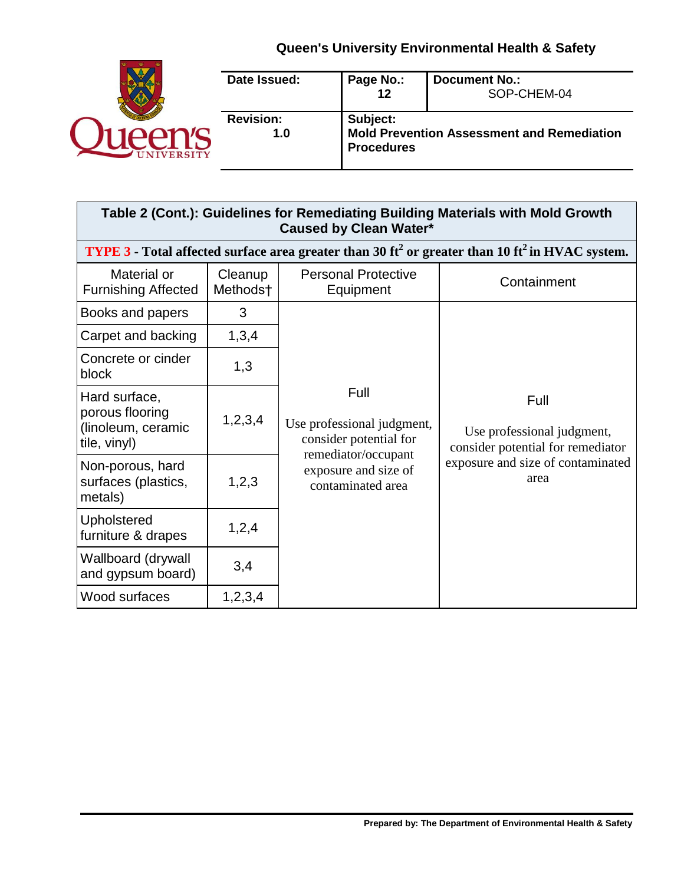| <b>IVERSITY</b> | Date Issued:            | Page No.:<br>12                                                                    | <b>Document No.:</b><br>SOP-CHEM-04 |
|-----------------|-------------------------|------------------------------------------------------------------------------------|-------------------------------------|
|                 | <b>Revision:</b><br>1.0 | Subject:<br><b>Mold Prevention Assessment and Remediation</b><br><b>Procedures</b> |                                     |

| Table 2 (Cont.): Guidelines for Remediating Building Materials with Mold Growth<br><b>Caused by Clean Water*</b> |                     |                                                                  |                                                                                                                                |  |  |
|------------------------------------------------------------------------------------------------------------------|---------------------|------------------------------------------------------------------|--------------------------------------------------------------------------------------------------------------------------------|--|--|
|                                                                                                                  |                     |                                                                  | <b>TYPE 3</b> - Total affected surface area greater than 30 ft <sup>2</sup> or greater than 10 ft <sup>2</sup> in HVAC system. |  |  |
| Material or<br><b>Furnishing Affected</b>                                                                        | Cleanup<br>Methods+ | <b>Personal Protective</b><br>Equipment                          | Containment                                                                                                                    |  |  |
| Books and papers                                                                                                 | 3                   |                                                                  |                                                                                                                                |  |  |
| Carpet and backing                                                                                               | 1,3,4               |                                                                  |                                                                                                                                |  |  |
| Concrete or cinder<br>block                                                                                      | 1,3                 |                                                                  |                                                                                                                                |  |  |
| Hard surface,<br>porous flooring<br>(linoleum, ceramic<br>tile, vinyl)                                           | 1,2,3,4             | Full<br>Use professional judgment,<br>consider potential for     | Full<br>Use professional judgment,<br>consider potential for remediator                                                        |  |  |
| Non-porous, hard<br>surfaces (plastics,<br>metals)                                                               | 1,2,3               | remediator/occupant<br>exposure and size of<br>contaminated area | exposure and size of contaminated<br>area                                                                                      |  |  |
| <b>Upholstered</b><br>furniture & drapes                                                                         | 1,2,4               |                                                                  |                                                                                                                                |  |  |
| Wallboard (drywall<br>and gypsum board)                                                                          | 3,4                 |                                                                  |                                                                                                                                |  |  |
| Wood surfaces                                                                                                    | 1,2,3,4             |                                                                  |                                                                                                                                |  |  |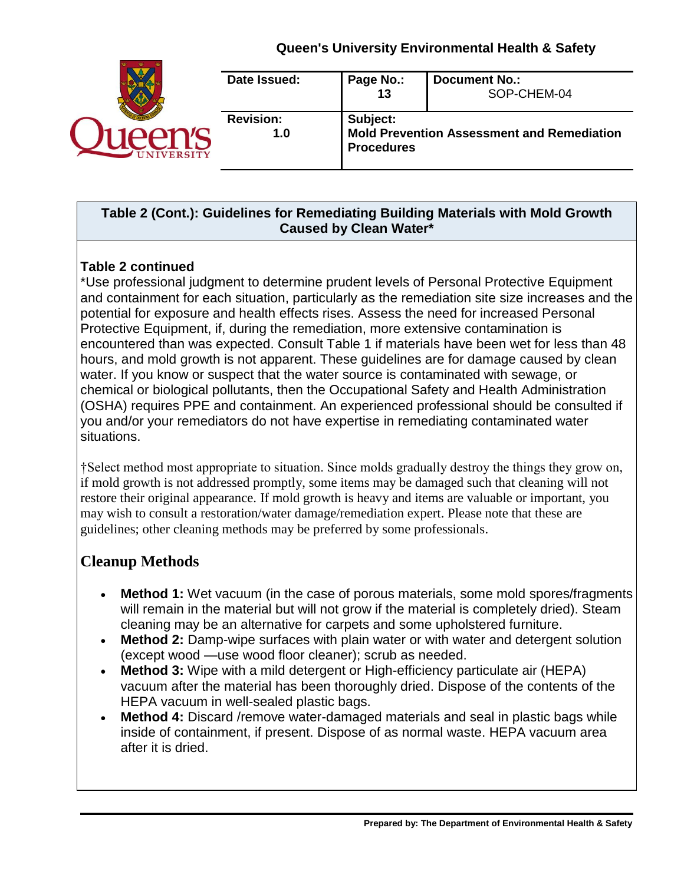|  | Date Issued:            | Page No.:<br>13                                                                    | <b>Document No.:</b><br>SOP-CHEM-04 |
|--|-------------------------|------------------------------------------------------------------------------------|-------------------------------------|
|  | <b>Revision:</b><br>1.0 | Subject:<br><b>Mold Prevention Assessment and Remediation</b><br><b>Procedures</b> |                                     |

### **Table 2 (Cont.): Guidelines for Remediating Building Materials with Mold Growth Caused by Clean Water\***

## **Table 2 continued**

\*Use professional judgment to determine prudent levels of Personal Protective Equipment and containment for each situation, particularly as the remediation site size increases and the potential for exposure and health effects rises. Assess the need for increased Personal Protective Equipment, if, during the remediation, more extensive contamination is encountered than was expected. Consult Table 1 if materials have been wet for less than 48 hours, and mold growth is not apparent. These guidelines are for damage caused by clean water. If you know or suspect that the water source is contaminated with sewage, or chemical or biological pollutants, then the Occupational Safety and Health Administration (OSHA) requires PPE and containment. An experienced professional should be consulted if you and/or your remediators do not have expertise in remediating contaminated water situations.

†Select method most appropriate to situation. Since molds gradually destroy the things they grow on, if mold growth is not addressed promptly, some items may be damaged such that cleaning will not restore their original appearance. If mold growth is heavy and items are valuable or important, you may wish to consult a restoration/water damage/remediation expert. Please note that these are guidelines; other cleaning methods may be preferred by some professionals.

# **Cleanup Methods**

- **Method 1:** Wet vacuum (in the case of porous materials, some mold spores/fragments will remain in the material but will not grow if the material is completely dried). Steam cleaning may be an alternative for carpets and some upholstered furniture.
- **Method 2:** Damp-wipe surfaces with plain water or with water and detergent solution (except wood —use wood floor cleaner); scrub as needed.
- **Method 3:** Wipe with a mild detergent or High-efficiency particulate air (HEPA) vacuum after the material has been thoroughly dried. Dispose of the contents of the HEPA vacuum in well-sealed plastic bags.
- **Method 4:** Discard /remove water-damaged materials and seal in plastic bags while inside of containment, if present. Dispose of as normal waste. HEPA vacuum area after it is dried.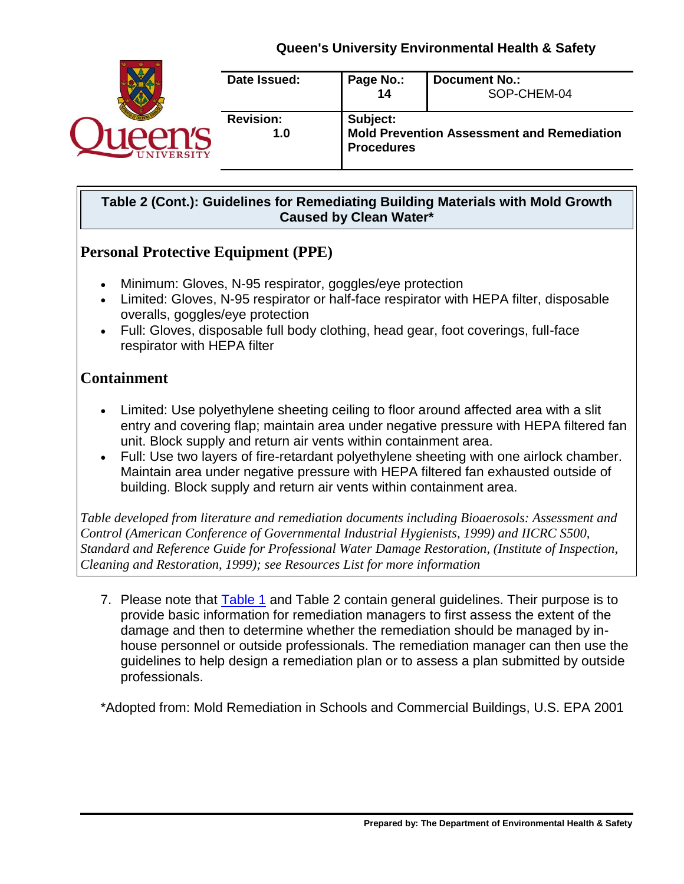

## **Table 2 (Cont.): Guidelines for Remediating Building Materials with Mold Growth Caused by Clean Water\***

# **Personal Protective Equipment (PPE)**

- Minimum: Gloves, N-95 respirator, goggles/eye protection
- Limited: Gloves, N-95 respirator or half-face respirator with HEPA filter, disposable overalls, goggles/eye protection
- Full: Gloves, disposable full body clothing, head gear, foot coverings, full-face respirator with HEPA filter

## **Containment**

- Limited: Use polyethylene sheeting ceiling to floor around affected area with a slit entry and covering flap; maintain area under negative pressure with HEPA filtered fan unit. Block supply and return air vents within containment area.
- Full: Use two layers of fire-retardant polyethylene sheeting with one airlock chamber. Maintain area under negative pressure with HEPA filtered fan exhausted outside of building. Block supply and return air vents within containment area.

*Table developed from literature and remediation documents including Bioaerosols: Assessment and Control (American Conference of Governmental Industrial Hygienists, 1999) and IICRC S500, Standard and Reference Guide for Professional Water Damage Restoration, (Institute of Inspection, Cleaning and Restoration, 1999); see Resources List for more information*

7. Please note that [Table 1](http://www.epa.gov/mold/table1.html) and Table 2 contain general guidelines. Their purpose is to provide basic information for remediation managers to first assess the extent of the damage and then to determine whether the remediation should be managed by inhouse personnel or outside professionals. The remediation manager can then use the guidelines to help design a remediation plan or to assess a plan submitted by outside professionals.

\*Adopted from: Mold Remediation in Schools and Commercial Buildings, U.S. EPA 2001